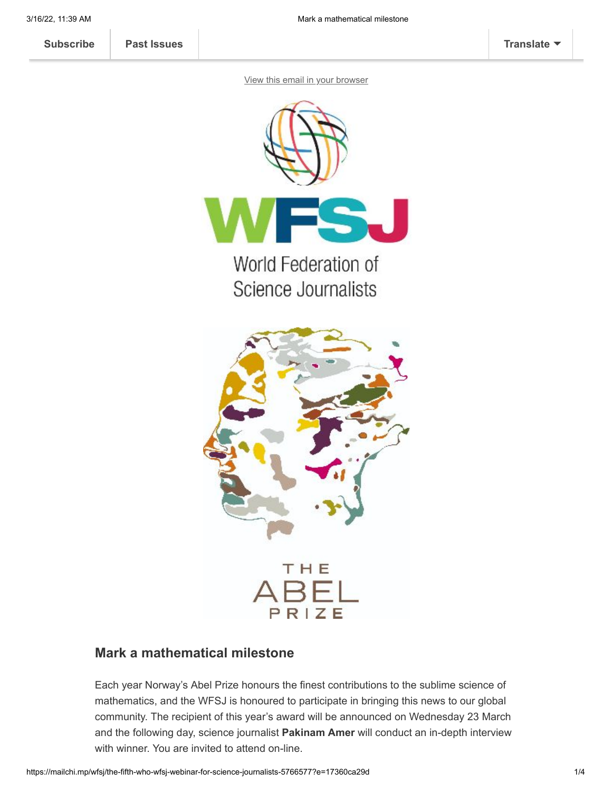**[Subscribe](http://eepurl.com/gBSAIn) [Past Issues](https://us2.campaign-archive.com/home/?u=a8d11a901ac032467f5aed649&id=6ab4679c19) [Translate](javascript:;)**

[View this email in your browser](https://mailchi.mp/wfsj/the-fifth-who-wfsj-webinar-for-science-journalists-5766577?e=17360ca29d)





## **Mark a mathematical milestone**

Each year Norway's Abel Prize honours the finest contributions to the sublime science of mathematics, and the WFSJ is honoured to participate in bringing this news to our global community. The recipient of this year's award will be announced on Wednesday 23 March and the following day, science journalist **Pakinam Amer** will conduct an in-depth interview with winner. You are invited to attend on-line.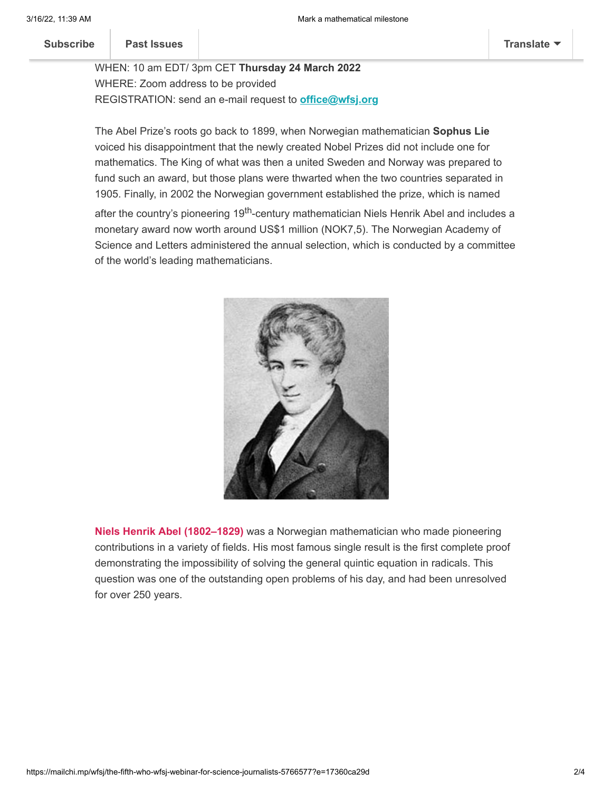$\mathbb{R}$  which we have the 2022 Abel Prize Laureate Laureate Laureate Laureate Laureate Laureate Laureate Laureate Laureate Laureate Laureate Laureate Laureate Laureate Laureate Laureate Laureate Laureate Laureate Laureat **[Subscribe](http://eepurl.com/gBSAIn) Past Issues [Translate](javascript:;)**

WHEN: 10 am EDT/ 3pm CET **Thursday 24 March 2022** WHERE: Zoom address to be provided REGISTRATION: send an e-mail request to **[office@wfsj.org](mailto:office@wfsj.org)**

The Abel Prize's roots go back to 1899, when Norwegian mathematician **Sophus Lie** voiced his disappointment that the newly created Nobel Prizes did not include one for mathematics. The King of what was then a united Sweden and Norway was prepared to fund such an award, but those plans were thwarted when the two countries separated in 1905. Finally, in 2002 the Norwegian government established the prize, which is named after the country's pioneering 19<sup>th</sup>-century mathematician Niels Henrik Abel and includes a monetary award now worth around US\$1 million (NOK7,5). The Norwegian Academy of Science and Letters administered the annual selection, which is conducted by a committee of the world's leading mathematicians.



**Niels Henrik Abel (1802–1829)** was a Norwegian mathematician who made pioneering contributions in a variety of fields. His most famous single result is the first complete proof demonstrating the impossibility of solving the general quintic equation in radicals. This question was one of the outstanding open problems of his day, and had been unresolved for over 250 years.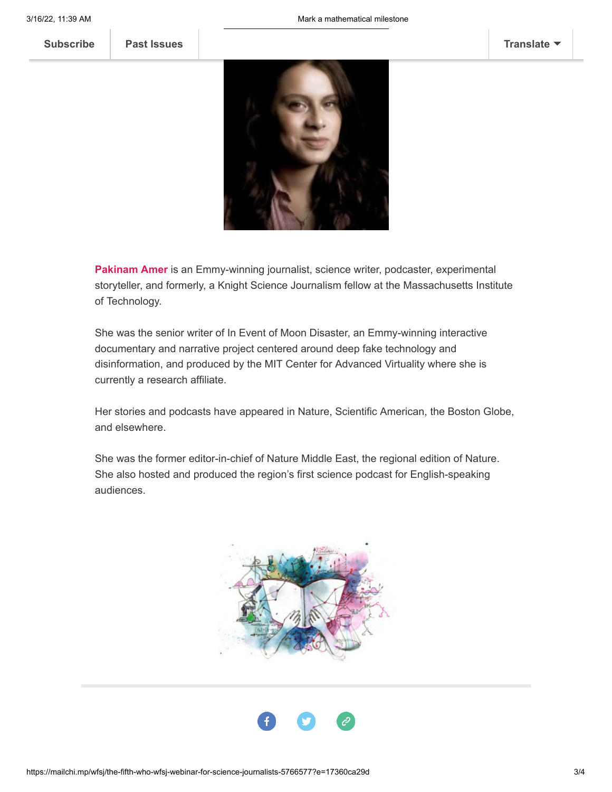

**Pakinam Amer** is an Emmy-winning journalist, science writer, podcaster, experimental storyteller, and formerly, a Knight Science Journalism fellow at the Massachusetts Institute of Technology.

She was the senior writer of In Event of Moon Disaster, an Emmy-winning interactive documentary and narrative project centered around deep fake technology and disinformation, and produced by the MIT Center for Advanced Virtuality where she is currently a research affiliate.

Her stories and podcasts have appeared in Nature, Scientific American, the Boston Globe, and elsewhere.

She was the former editor-in-chief of Nature Middle East, the regional edition of Nature. She also hosted and produced the region's first science podcast for English-speaking audiences.